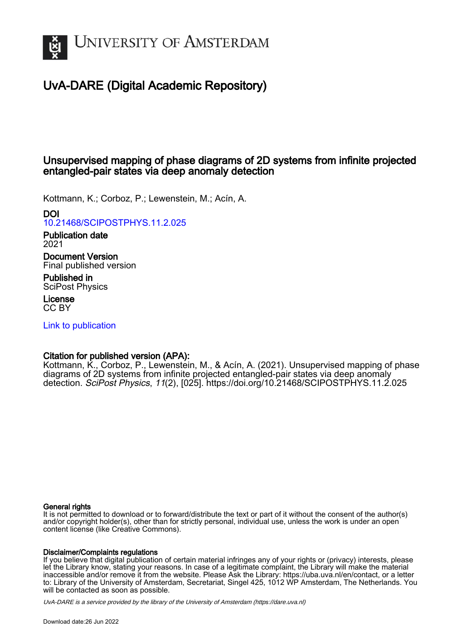

# UvA-DARE (Digital Academic Repository)

## Unsupervised mapping of phase diagrams of 2D systems from infinite projected entangled-pair states via deep anomaly detection

Kottmann, K.; Corboz, P.; Lewenstein, M.; Acín, A.

#### DOI

[10.21468/SCIPOSTPHYS.11.2.025](https://doi.org/10.21468/SCIPOSTPHYS.11.2.025)

#### Publication date 2021

Document Version Final published version

Published in SciPost Physics

License CC BY

[Link to publication](https://dare.uva.nl/personal/pure/en/publications/unsupervised-mapping-of-phase-diagrams-of-2d-systems-from-infinite-projected-entangledpair-states-via-deep-anomaly-detection(aeed54dc-6552-435f-8565-31c67bbe49c1).html)

### Citation for published version (APA):

Kottmann, K., Corboz, P., Lewenstein, M., & Acín, A. (2021). Unsupervised mapping of phase diagrams of 2D systems from infinite projected entangled-pair states via deep anomaly detection. SciPost Physics, 11(2), [025].<https://doi.org/10.21468/SCIPOSTPHYS.11.2.025>

#### General rights

It is not permitted to download or to forward/distribute the text or part of it without the consent of the author(s) and/or copyright holder(s), other than for strictly personal, individual use, unless the work is under an open content license (like Creative Commons).

#### Disclaimer/Complaints regulations

If you believe that digital publication of certain material infringes any of your rights or (privacy) interests, please let the Library know, stating your reasons. In case of a legitimate complaint, the Library will make the material inaccessible and/or remove it from the website. Please Ask the Library: https://uba.uva.nl/en/contact, or a letter to: Library of the University of Amsterdam, Secretariat, Singel 425, 1012 WP Amsterdam, The Netherlands. You will be contacted as soon as possible.

UvA-DARE is a service provided by the library of the University of Amsterdam (http*s*://dare.uva.nl)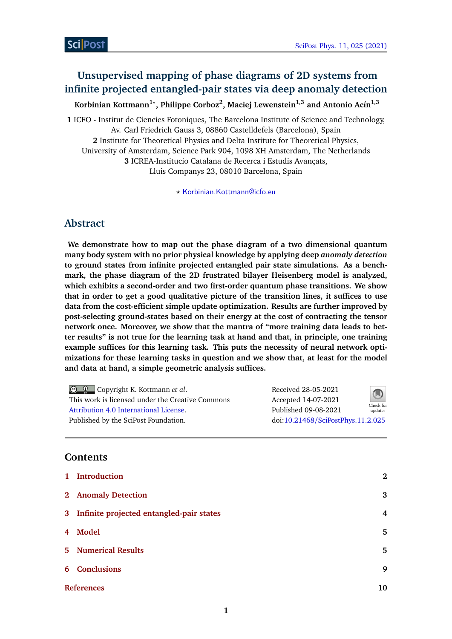## **Unsupervised mapping of phase diagrams of 2D systems from infinite projected entangled-pair states via deep anomaly detection**

**Korbinian Kottmann1***?* **, Philippe Corboz<sup>2</sup> , Maciej Lewenstein1,3 and Antonio Acín1,3**

**1** ICFO - Institut de Ciencies Fotoniques, The Barcelona Institute of Science and Technology, Av. Carl Friedrich Gauss 3, 08860 Castelldefels (Barcelona), Spain **2** Institute for Theoretical Physics and Delta Institute for Theoretical Physics, University of Amsterdam, Science Park 904, 1098 XH Amsterdam, The Netherlands **3** ICREA-Institucio Catalana de Recerca i Estudis Avançats, Lluis Companys 23, 08010 Barcelona, Spain

*?* [Korbinian.Kottmann@icfo.eu](mailto:Korbinian.Kottmann@icfo.eu)

## **Abstract**

**We demonstrate how to map out the phase diagram of a two dimensional quantum many body system with no prior physical knowledge by applying deep** *anomaly detection* **to ground states from infinite projected entangled pair state simulations. As a benchmark, the phase diagram of the 2D frustrated bilayer Heisenberg model is analyzed, which exhibits a second-order and two first-order quantum phase transitions. We show that in order to get a good qualitative picture of the transition lines, it suffices to use data from the cost-efficient simple update optimization. Results are further improved by post-selecting ground-states based on their energy at the cost of contracting the tensor network once. Moreover, we show that the mantra of "more training data leads to better results" is not true for the learning task at hand and that, in principle, one training example suffices for this learning task. This puts the necessity of neural network optimizations for these learning tasks in question and we show that, at least for the model and data at hand, a simple geometric analysis suffices.**

| © © Copyright K. Kottmann et al.                 | Received 28-05-2021               | $\bigcirc$           |
|--------------------------------------------------|-----------------------------------|----------------------|
| This work is licensed under the Creative Commons | Accepted 14-07-2021               |                      |
| Attribution 4.0 International License.           | Published 09-08-2021              | Check for<br>updates |
| Published by the SciPost Foundation.             | doi:10.21468/SciPostPhys.11.2.025 |                      |

### **Contents**

| 1 Introduction                             | $\bf{2}$ |
|--------------------------------------------|----------|
| 2 Anomaly Detection                        | 3        |
| 3 Infinite projected entangled-pair states | 4        |
| 4 Model                                    | 5        |
| <b>5</b> Numerical Results                 | 5        |
| 6 Conclusions                              | 9        |
| <b>References</b>                          | 10       |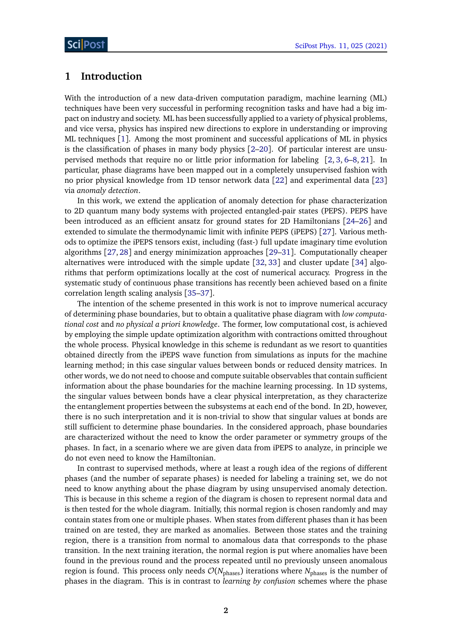#### <span id="page-2-0"></span>**1 Introduction**

With the introduction of a new data-driven computation paradigm, machine learning (ML) techniques have been very successful in performing recognition tasks and have had a big impact on industry and society. ML has been successfully applied to a variety of physical problems, and vice versa, physics has inspired new directions to explore in understanding or improving ML techniques [[1](#page-10-0)]. Among the most prominent and successful applications of ML in physics is the classification of phases in many body physics  $[2-20]$  $[2-20]$  $[2-20]$ . Of particular interest are unsupervised methods that require no or little prior information for labeling [[2,](#page-10-1) [3,](#page-10-2) [6–](#page-10-3)[8,](#page-10-4) [21](#page-11-1)]. In particular, phase diagrams have been mapped out in a completely unsupervised fashion with no prior physical knowledge from 1D tensor network data [[22](#page-11-2)] and experimental data [[23](#page-11-3)] via *anomaly detection*.

In this work, we extend the application of anomaly detection for phase characterization to 2D quantum many body systems with projected entangled-pair states (PEPS). PEPS have been introduced as an efficient ansatz for ground states for 2D Hamiltonians [[24–](#page-11-4)[26](#page-11-5)] and extended to simulate the thermodynamic limit with infinite PEPS (iPEPS) [[27](#page-11-6)]. Various methods to optimize the iPEPS tensors exist, including (fast-) full update imaginary time evolution algorithms [[27,](#page-11-6) [28](#page-12-0)] and energy minimization approaches [[29](#page-12-1)[–31](#page-12-2)]. Computationally cheaper alternatives were introduced with the simple update [[32,](#page-12-3) [33](#page-12-4)] and cluster update [[34](#page-12-5)] algorithms that perform optimizations locally at the cost of numerical accuracy. Progress in the systematic study of continuous phase transitions has recently been achieved based on a finite correlation length scaling analysis [[35–](#page-12-6)[37](#page-12-7)].

The intention of the scheme presented in this work is not to improve numerical accuracy of determining phase boundaries, but to obtain a qualitative phase diagram with *low computational cost* and *no physical a priori knowledge*. The former, low computational cost, is achieved by employing the simple update optimization algorithm with contractions omitted throughout the whole process. Physical knowledge in this scheme is redundant as we resort to quantities obtained directly from the iPEPS wave function from simulations as inputs for the machine learning method; in this case singular values between bonds or reduced density matrices. In other words, we do not need to choose and compute suitable observables that contain sufficient information about the phase boundaries for the machine learning processing. In 1D systems, the singular values between bonds have a clear physical interpretation, as they characterize the entanglement properties between the subsystems at each end of the bond. In 2D, however, there is no such interpretation and it is non-trivial to show that singular values at bonds are still sufficient to determine phase boundaries. In the considered approach, phase boundaries are characterized without the need to know the order parameter or symmetry groups of the phases. In fact, in a scenario where we are given data from iPEPS to analyze, in principle we do not even need to know the Hamiltonian.

In contrast to supervised methods, where at least a rough idea of the regions of different phases (and the number of separate phases) is needed for labeling a training set, we do not need to know anything about the phase diagram by using unsupervised anomaly detection. This is because in this scheme a region of the diagram is chosen to represent normal data and is then tested for the whole diagram. Initially, this normal region is chosen randomly and may contain states from one or multiple phases. When states from different phases than it has been trained on are tested, they are marked as anomalies. Between those states and the training region, there is a transition from normal to anomalous data that corresponds to the phase transition. In the next training iteration, the normal region is put where anomalies have been found in the previous round and the process repeated until no previously unseen anomalous region is found. This process only needs  $\mathcal{O}(N_{\text{phases}})$  iterations where  $N_{\text{phases}}$  is the number of phases in the diagram. This is in contrast to *learning by confusion* schemes where the phase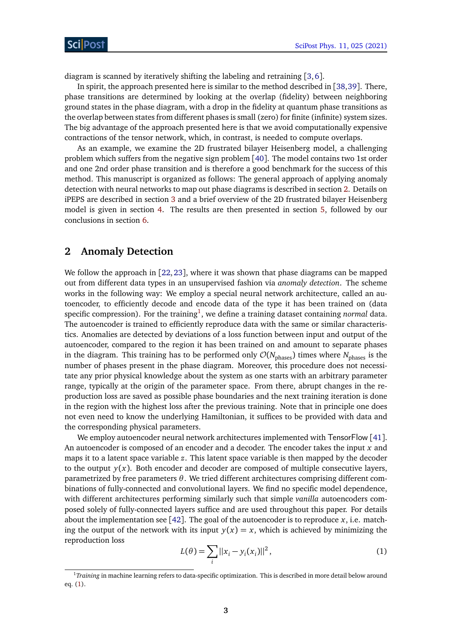diagram is scanned by iteratively shifting the labeling and retraining [[3,](#page-10-2)[6](#page-10-3)].

In spirit, the approach presented here is similar to the method described in [[38,](#page-12-8)[39](#page-12-9)]. There, phase transitions are determined by looking at the overlap (fidelity) between neighboring ground states in the phase diagram, with a drop in the fidelity at quantum phase transitions as the overlap between states from different phases is small (zero) for finite (infinite) system sizes. The big advantage of the approach presented here is that we avoid computationally expensive contractions of the tensor network, which, in contrast, is needed to compute overlaps.

As an example, we examine the 2D frustrated bilayer Heisenberg model, a challenging problem which suffers from the negative sign problem [[40](#page-12-10)]. The model contains two 1st order and one 2nd order phase transition and is therefore a good benchmark for the success of this method. This manuscript is organized as follows: The general approach of applying anomaly detection with neural networks to map out phase diagrams is described in section [2.](#page-3-0) Details on iPEPS are described in section [3](#page-4-0) and a brief overview of the 2D frustrated bilayer Heisenberg model is given in section [4.](#page-5-0) The results are then presented in section [5,](#page-5-1) followed by our conclusions in section [6.](#page-9-0)

#### <span id="page-3-0"></span>**2 Anomaly Detection**

We follow the approach in [[22,](#page-11-2)[23](#page-11-3)], where it was shown that phase diagrams can be mapped out from different data types in an unsupervised fashion via *anomaly detection*. The scheme works in the following way: We employ a special neural network architecture, called an autoencoder, to efficiently decode and encode data of the type it has been trained on (data specific compression). For the training<sup>[1](#page-3-1)</sup>, we define a training dataset containing *normal* data. The autoencoder is trained to efficiently reproduce data with the same or similar characteristics. Anomalies are detected by deviations of a loss function between input and output of the autoencoder, compared to the region it has been trained on and amount to separate phases in the diagram. This training has to be performed only  $\mathcal{O}(N_{\text{phases}})$  times where  $N_{\text{phases}}$  is the number of phases present in the phase diagram. Moreover, this procedure does not necessitate any prior physical knowledge about the system as one starts with an arbitrary parameter range, typically at the origin of the parameter space. From there, abrupt changes in the reproduction loss are saved as possible phase boundaries and the next training iteration is done in the region with the highest loss after the previous training. Note that in principle one does not even need to know the underlying Hamiltonian, it suffices to be provided with data and the corresponding physical parameters.

We employ autoencoder neural network architectures implemented with TensorFlow [[41](#page-12-11)]. An autoencoder is composed of an encoder and a decoder. The encoder takes the input *x* and maps it to a latent space variable *z*. This latent space variable is then mapped by the decoder to the output  $y(x)$ . Both encoder and decoder are composed of multiple consecutive layers, parametrized by free parameters *θ*. We tried different architectures comprising different combinations of fully-connected and convolutional layers. We find no specific model dependence, with different architectures performing similarly such that simple *vanilla* autoencoders composed solely of fully-connected layers suffice and are used throughout this paper. For details about the implementation see [[42](#page-12-12)]. The goal of the autoencoder is to reproduce  $x$ , i.e. matching the output of the network with its input  $y(x) = x$ , which is achieved by minimizing the reproduction loss

<span id="page-3-2"></span>
$$
L(\theta) = \sum_{i} ||x_i - y_i(x_i)||^2,
$$
 (1)

<span id="page-3-1"></span><sup>1</sup>*Training* in machine learning refers to data-specific optimization. This is described in more detail below around eq. [\(1\)](#page-3-2).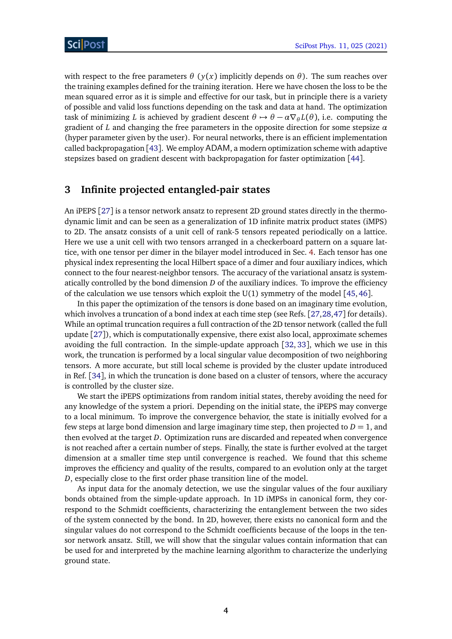with respect to the free parameters  $\theta$  ( $y(x)$  implicitly depends on  $\theta$ ). The sum reaches over the training examples defined for the training iteration. Here we have chosen the loss to be the mean squared error as it is simple and effective for our task, but in principle there is a variety of possible and valid loss functions depending on the task and data at hand. The optimization task of minimizing *L* is achieved by gradient descent  $\theta \mapsto \theta - \alpha \nabla_{\theta} L(\theta)$ , i.e. computing the gradient of *L* and changing the free parameters in the opposite direction for some stepsize *α* (hyper parameter given by the user). For neural networks, there is an efficient implementation called backpropagation [[43](#page-12-13)]. We employ ADAM, a modern optimization scheme with adaptive stepsizes based on gradient descent with backpropagation for faster optimization [[44](#page-12-14)].

### <span id="page-4-0"></span>**3 Infinite projected entangled-pair states**

An iPEPS [[27](#page-11-6)] is a tensor network ansatz to represent 2D ground states directly in the thermodynamic limit and can be seen as a generalization of 1D infinite matrix product states (iMPS) to 2D. The ansatz consists of a unit cell of rank-5 tensors repeated periodically on a lattice. Here we use a unit cell with two tensors arranged in a checkerboard pattern on a square lattice, with one tensor per dimer in the bilayer model introduced in Sec. [4.](#page-5-0) Each tensor has one physical index representing the local Hilbert space of a dimer and four auxiliary indices, which connect to the four nearest-neighbor tensors. The accuracy of the variational ansatz is systematically controlled by the bond dimension *D* of the auxiliary indices. To improve the efficiency of the calculation we use tensors which exploit the  $U(1)$  symmetry of the model [[45,](#page-13-0)[46](#page-13-1)].

In this paper the optimization of the tensors is done based on an imaginary time evolution, which involves a truncation of a bond index at each time step (see Refs. [[27,](#page-11-6)[28,](#page-12-0)[47](#page-13-2)] for details). While an optimal truncation requires a full contraction of the 2D tensor network (called the full update [[27](#page-11-6)]), which is computationally expensive, there exist also local, approximate schemes avoiding the full contraction. In the simple-update approach [[32,](#page-12-3) [33](#page-12-4)], which we use in this work, the truncation is performed by a local singular value decomposition of two neighboring tensors. A more accurate, but still local scheme is provided by the cluster update introduced in Ref. [[34](#page-12-5)], in which the truncation is done based on a cluster of tensors, where the accuracy is controlled by the cluster size.

We start the iPEPS optimizations from random initial states, thereby avoiding the need for any knowledge of the system a priori. Depending on the initial state, the iPEPS may converge to a local minimum. To improve the convergence behavior, the state is initially evolved for a few steps at large bond dimension and large imaginary time step, then projected to  $D = 1$ , and then evolved at the target *D*. Optimization runs are discarded and repeated when convergence is not reached after a certain number of steps. Finally, the state is further evolved at the target dimension at a smaller time step until convergence is reached. We found that this scheme improves the efficiency and quality of the results, compared to an evolution only at the target *D*, especially close to the first order phase transition line of the model.

As input data for the anomaly detection, we use the singular values of the four auxiliary bonds obtained from the simple-update approach. In 1D iMPSs in canonical form, they correspond to the Schmidt coefficients, characterizing the entanglement between the two sides of the system connected by the bond. In 2D, however, there exists no canonical form and the singular values do not correspond to the Schmidt coefficients because of the loops in the tensor network ansatz. Still, we will show that the singular values contain information that can be used for and interpreted by the machine learning algorithm to characterize the underlying ground state.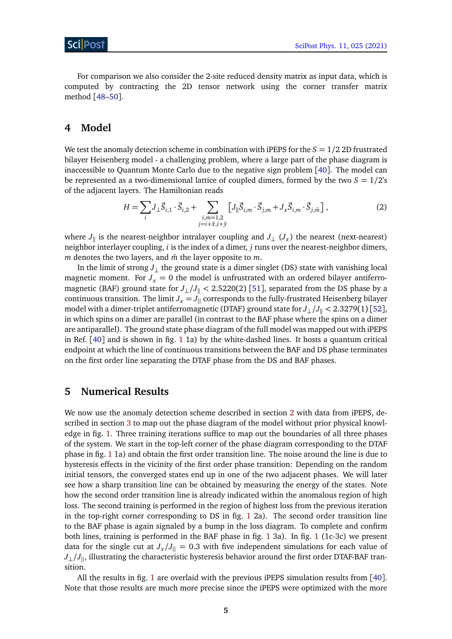For comparison we also consider the 2-site reduced density matrix as input data, which is computed by contracting the 2D tensor network using the corner transfer matrix method [[48–](#page-13-3)[50](#page-13-4)].

#### <span id="page-5-0"></span>**4 Model**

We test the anomaly detection scheme in combination with iPEPS for the  $S = 1/2$  2D frustrated bilayer Heisenberg model - a challenging problem, where a large part of the phase diagram is inaccessible to Quantum Monte Carlo due to the negative sign problem [[40](#page-12-10)]. The model can be represented as a two-dimensional lattice of coupled dimers, formed by the two  $S = 1/2$ 's of the adjacent layers. The Hamiltonian reads

$$
H = \sum_{i} J_{\perp} \vec{S}_{i,1} \cdot \vec{S}_{i,2} + \sum_{\substack{i,m=1,2\\j=i+\hat{x}, i+\hat{y}}} \left[ J_{\parallel} \vec{S}_{i,m} \cdot \vec{S}_{j,m} + J_x \vec{S}_{i,m} \cdot \vec{S}_{j,\bar{m}} \right],
$$
(2)

where  $J_{\parallel}$  is the nearest-neighbor intralayer coupling and  $J_{\perp}$  ( $J_x$ ) the nearest (next-nearest) neighbor interlayer coupling, *i* is the index of a dimer, *j* runs over the nearest-neighbor dimers, *m* denotes the two layers, and  $\bar{m}$  the layer opposite to  $m$ .

In the limit of strong  $J_{\perp}$  the ground state is a dimer singlet (DS) state with vanishing local magnetic moment. For  $J_x = 0$  the model is unfrustrated with an ordered bilayer antiferromagnetic (BAF) ground state for  $J_{\perp}/J_{\parallel}$  < 2.5220(2) [[51](#page-13-5)], separated from the DS phase by a continuous transition. The limit  $J_x = J_{||}$  corresponds to the fully-frustrated Heisenberg bilayer model with a dimer-triplet antiferromagnetic (DTAF) ground state for  $J_{\perp}/J_{\parallel}$  < 2.3279(1) [[52](#page-13-6)], in which spins on a dimer are parallel (in contrast to the BAF phase where the spins on a dimer are antiparallel). The ground state phase diagram of the full model was mapped out with iPEPS in Ref. [[40](#page-12-10)] and is shown in fig. [1](#page-6-0) 1a) by the white-dashed lines. It hosts a quantum critical endpoint at which the line of continuous transitions between the BAF and DS phase terminates on the first order line separating the DTAF phase from the DS and BAF phases.

#### <span id="page-5-1"></span>**5 Numerical Results**

We now use the anomaly detection scheme described in section [2](#page-3-0) with data from iPEPS, described in section [3](#page-4-0) to map out the phase diagram of the model without prior physical knowledge in fig. [1.](#page-6-0) Three training iterations suffice to map out the boundaries of all three phases of the system. We start in the top-left corner of the phase diagram corresponding to the DTAF phase in fig. [1](#page-6-0) 1a) and obtain the first order transition line. The noise around the line is due to hysteresis effects in the vicinity of the first order phase transition: Depending on the random initial tensors, the converged states end up in one of the two adjacent phases. We will later see how a sharp transition line can be obtained by measuring the energy of the states. Note how the second order transition line is already indicated within the anomalous region of high loss. The second training is performed in the region of highest loss from the previous iteration in the top-right corner corresponding to DS in fig. [1](#page-6-0) 2a). The second order transition line to the BAF phase is again signaled by a bump in the loss diagram. To complete and confirm both lines, training is performed in the BAF phase in fig. [1](#page-6-0) 3a). In fig. [1](#page-6-0) (1c-3c) we present data for the single cut at  $J_x/J_{||} = 0.3$  with five independent simulations for each value of *J*<sub>⊥</sub>/*J*<sub>||</sub>, illustrating the characteristic hysteresis behavior around the first order DTAF-BAF transition.

All the results in fig. [1](#page-6-0) are overlaid with the previous iPEPS simulation results from [[40](#page-12-10)]. Note that those results are much more precise since the iPEPS were optimized with the more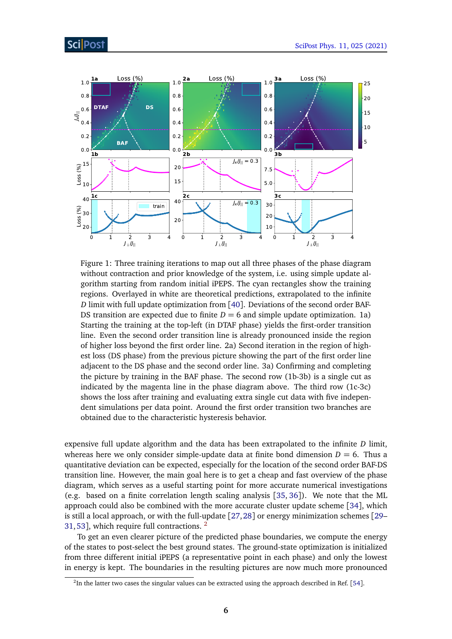<span id="page-6-0"></span>

Figure 1: Three training iterations to map out all three phases of the phase diagram without contraction and prior knowledge of the system, i.e. using simple update algorithm starting from random initial iPEPS. The cyan rectangles show the training regions. Overlayed in white are theoretical predictions, extrapolated to the infinite *D* limit with full update optimization from [[40](#page-12-10)]. Deviations of the second order BAF-DS transition are expected due to finite  $D = 6$  and simple update optimization. 1a) Starting the training at the top-left (in DTAF phase) yields the first-order transition line. Even the second order transition line is already pronounced inside the region of higher loss beyond the first order line. 2a) Second iteration in the region of highest loss (DS phase) from the previous picture showing the part of the first order line adjacent to the DS phase and the second order line. 3a) Confirming and completing the picture by training in the BAF phase. The second row (1b-3b) is a single cut as indicated by the magenta line in the phase diagram above. The third row (1c-3c) shows the loss after training and evaluating extra single cut data with five independent simulations per data point. Around the first order transition two branches are obtained due to the characteristic hysteresis behavior.

expensive full update algorithm and the data has been extrapolated to the infinite *D* limit, whereas here we only consider simple-update data at finite bond dimension  $D = 6$ . Thus a quantitative deviation can be expected, especially for the location of the second order BAF-DS transition line. However, the main goal here is to get a cheap and fast overview of the phase diagram, which serves as a useful starting point for more accurate numerical investigations (e.g. based on a finite correlation length scaling analysis [[35,](#page-12-6) [36](#page-12-15)]). We note that the ML approach could also be combined with the more accurate cluster update scheme [[34](#page-12-5)], which is still a local approach, or with the full-update [[27,](#page-11-6)[28](#page-12-0)] or energy minimization schemes [[29–](#page-12-1) [31,](#page-12-2)[53](#page-13-7)], which require full contractions. <sup>[2](#page-6-1)</sup>

To get an even clearer picture of the predicted phase boundaries, we compute the energy of the states to post-select the best ground states. The ground-state optimization is initialized from three different initial iPEPS (a representative point in each phase) and only the lowest in energy is kept. The boundaries in the resulting pictures are now much more pronounced

<span id="page-6-1"></span> $^{2}$ In the latter two cases the singular values can be extracted using the approach described in Ref. [[54](#page-13-8)].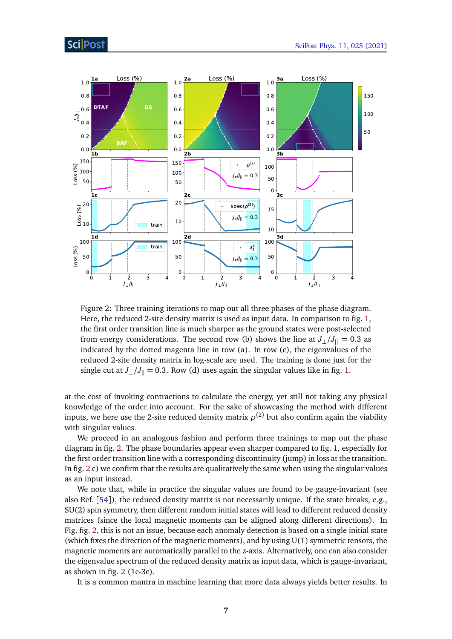<span id="page-7-0"></span>

Figure 2: Three training iterations to map out all three phases of the phase diagram. Here, the reduced 2-site density matrix is used as input data. In comparison to fig. [1,](#page-6-0) the first order transition line is much sharper as the ground states were post-selected from energy considerations. The second row (b) shows the line at  $J_{\perp}/J_{\parallel} = 0.3$  as indicated by the dotted magenta line in row (a). In row (c), the eigenvalues of the reduced 2-site density matrix in log-scale are used. The training is done just for the single cut at  $J_{\perp}/J_{\parallel} = 0.3$ . Row (d) uses again the singular values like in fig. [1.](#page-6-0)

at the cost of invoking contractions to calculate the energy, yet still not taking any physical knowledge of the order into account. For the sake of showcasing the method with different inputs, we here use the 2-site reduced density matrix  $\rho^{(2)}$  but also confirm again the viability with singular values.

We proceed in an analogous fashion and perform three trainings to map out the phase diagram in fig. [2.](#page-7-0) The phase boundaries appear even sharper compared to fig. [1,](#page-6-0) especially for the first order transition line with a corresponding discontinuity (jump) in loss at the transition. In fig. [2](#page-7-0) c) we confirm that the results are qualitatively the same when using the singular values as an input instead.

We note that, while in practice the singular values are found to be gauge-invariant (see also Ref. [[54](#page-13-8)]), the reduced density matrix is not necessarily unique. If the state breaks, e.g., SU(2) spin symmetry, then different random initial states will lead to different reduced density matrices (since the local magnetic moments can be aligned along different directions). In Fig. fig. [2,](#page-7-0) this is not an issue, because each anomaly detection is based on a single initial state (which fixes the direction of the magnetic moments), and by using  $U(1)$  symmetric tensors, the magnetic moments are automatically parallel to the z-axis. Alternatively, one can also consider the eigenvalue spectrum of the reduced density matrix as input data, which is gauge-invariant, as shown in fig.  $2$  (1c-3c).

It is a common mantra in machine learning that more data always yields better results. In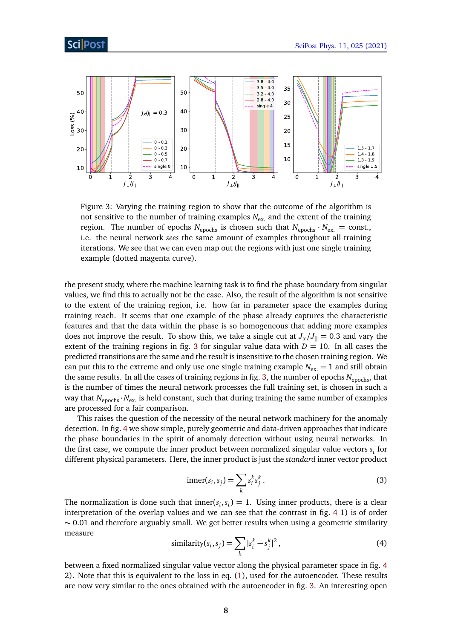### ScilPos<sup>.</sup>

<span id="page-8-0"></span>

Figure 3: Varying the training region to show that the outcome of the algorithm is not sensitive to the number of training examples  $N_{\text{ex}}$  and the extent of the training region. The number of epochs  $N_{\text{epochs}}$  is chosen such that  $N_{\text{epochs}} \cdot N_{\text{ex}} = \text{const.}$ i.e. the neural network *sees* the same amount of examples throughout all training iterations. We see that we can even map out the regions with just one single training example (dotted magenta curve).

the present study, where the machine learning task is to find the phase boundary from singular values, we find this to actually not be the case. Also, the result of the algorithm is not sensitive to the extent of the training region, i.e. how far in parameter space the examples during training reach. It seems that one example of the phase already captures the characteristic features and that the data within the phase is so homogeneous that adding more examples does not improve the result. To show this, we take a single cut at  $J_x/J_{\parallel} = 0.3$  and vary the extent of the training regions in fig. [3](#page-8-0) for singular value data with  $D = 10$ . In all cases the predicted transitions are the same and the result is insensitive to the chosen training region. We can put this to the extreme and only use one single training example  $N_{\text{ex}} = 1$  and still obtain the same results. In all the cases of training regions in fig. [3,](#page-8-0) the number of epochs N<sub>epochs</sub>, that is the number of times the neural network processes the full training set, is chosen in such a way that  $N_{\text{epochs}} \cdot N_{\text{ex}}$  is held constant, such that during training the same number of examples are processed for a fair comparison.

This raises the question of the necessity of the neural network machinery for the anomaly detection. In fig. [4](#page-9-1) we show simple, purely geometric and data-driven approaches that indicate the phase boundaries in the spirit of anomaly detection without using neural networks. In the first case, we compute the inner product between normalized singular value vectors *s<sup>i</sup>* for different physical parameters. Here, the inner product is just the *standard* inner vector product

$$
inner(si, sj) = \sum_{k} sik sjk.
$$
 (3)

The normalization is done such that inner( $s_i, s_i$ ) = 1. Using inner products, there is a clear interpretation of the overlap values and we can see that the contrast in fig. [4](#page-9-1) 1) is of order  $\sim$  0.01 and therefore arguably small. We get better results when using a geometric similarity measure

$$
\text{similarity}(s_i, s_j) = \sum_{k} |s_i^k - s_j^k|^2,\tag{4}
$$

between a fixed normalized singular value vector along the physical parameter space in fig. [4](#page-9-1) 2). Note that this is equivalent to the loss in eq. [\(1\)](#page-3-2), used for the autoencoder. These results are now very similar to the ones obtained with the autoencoder in fig. [3.](#page-8-0) An interesting open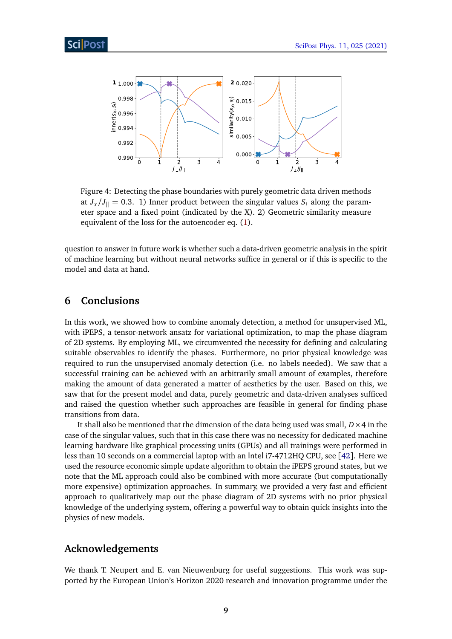<span id="page-9-1"></span>

Figure 4: Detecting the phase boundaries with purely geometric data driven methods at  $J_x/J_{\parallel} = 0.3.$  1) Inner product between the singular values  $S_i$  along the parameter space and a fixed point (indicated by the X). 2) Geometric similarity measure equivalent of the loss for the autoencoder eq. [\(1\)](#page-3-2).

question to answer in future work is whether such a data-driven geometric analysis in the spirit of machine learning but without neural networks suffice in general or if this is specific to the model and data at hand.

#### <span id="page-9-0"></span>**6 Conclusions**

In this work, we showed how to combine anomaly detection, a method for unsupervised ML, with iPEPS, a tensor-network ansatz for variational optimization, to map the phase diagram of 2D systems. By employing ML, we circumvented the necessity for defining and calculating suitable observables to identify the phases. Furthermore, no prior physical knowledge was required to run the unsupervised anomaly detection (i.e. no labels needed). We saw that a successful training can be achieved with an arbitrarily small amount of examples, therefore making the amount of data generated a matter of aesthetics by the user. Based on this, we saw that for the present model and data, purely geometric and data-driven analyses sufficed and raised the question whether such approaches are feasible in general for finding phase transitions from data.

It shall also be mentioned that the dimension of the data being used was small,  $D \times 4$  in the case of the singular values, such that in this case there was no necessity for dedicated machine learning hardware like graphical processing units (GPUs) and all trainings were performed in less than 10 seconds on a commercial laptop with an Intel i7-4712HQ CPU, see [[42](#page-12-12)]. Here we used the resource economic simple update algorithm to obtain the iPEPS ground states, but we note that the ML approach could also be combined with more accurate (but computationally more expensive) optimization approaches. In summary, we provided a very fast and efficient approach to qualitatively map out the phase diagram of 2D systems with no prior physical knowledge of the underlying system, offering a powerful way to obtain quick insights into the physics of new models.

#### **Acknowledgements**

We thank T. Neupert and E. van Nieuwenburg for useful suggestions. This work was supported by the European Union's Horizon 2020 research and innovation programme under the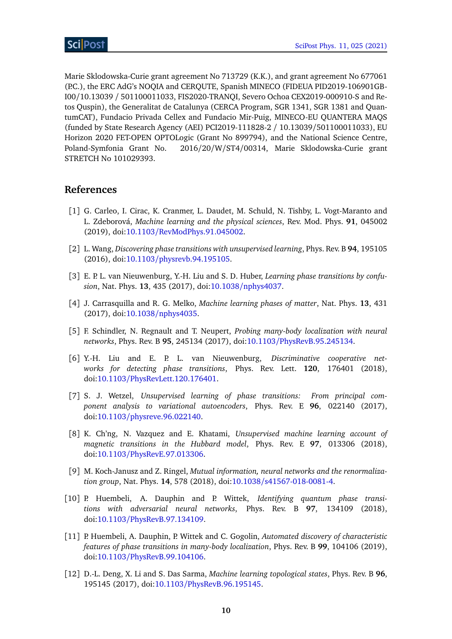Marie Sklodowska-Curie grant agreement No 713729 (K.K.), and grant agreement No 677061 (P.C.), the ERC AdG's NOQIA and CERQUTE, Spanish MINECO (FIDEUA PID2019-106901GB-I00/10.13039 / 501100011033, FIS2020-TRANQI, Severo Ochoa CEX2019-000910-S and Retos Quspin), the Generalitat de Catalunya (CERCA Program, SGR 1341, SGR 1381 and QuantumCAT), Fundacio Privada Cellex and Fundacio Mir-Puig, MINECO-EU QUANTERA MAQS (funded by State Research Agency (AEI) PCI2019-111828-2 / 10.13039/501100011033), EU Horizon 2020 FET-OPEN OPTOLogic (Grant No 899794), and the National Science Centre, Poland-Symfonia Grant No. 2016/20/W/ST4/00314, Marie Sklodowska-Curie grant STRETCH No 101029393.

#### **References**

- <span id="page-10-0"></span>[1] G. Carleo, I. Cirac, K. Cranmer, L. Daudet, M. Schuld, N. Tishby, L. Vogt-Maranto and L. Zdeborová, *Machine learning and the physical sciences*, Rev. Mod. Phys. **91**, 045002 (2019), doi:10.1103/[RevModPhys.91.045002.](https://doi.org/10.1103/RevModPhys.91.045002)
- <span id="page-10-1"></span>[2] L. Wang, *Discovering phase transitions with unsupervised learning*, Phys. Rev. B **94**, 195105 (2016), doi:10.1103/[physrevb.94.195105.](https://doi.org/10.1103/physrevb.94.195105)
- <span id="page-10-2"></span>[3] E. P. L. van Nieuwenburg, Y.-H. Liu and S. D. Huber, *Learning phase transitions by confusion*, Nat. Phys. **13**, 435 (2017), doi:10.1038/[nphys4037.](https://doi.org/10.1038/nphys4037)
- [4] J. Carrasquilla and R. G. Melko, *Machine learning phases of matter*, Nat. Phys. **13**, 431 (2017), doi:10.1038/[nphys4035.](https://doi.org/10.1038/nphys4035)
- [5] F. Schindler, N. Regnault and T. Neupert, *Probing many-body localization with neural networks*, Phys. Rev. B **95**, 245134 (2017), doi:10.1103/[PhysRevB.95.245134.](https://doi.org/10.1103/PhysRevB.95.245134)
- <span id="page-10-3"></span>[6] Y.-H. Liu and E. P. L. van Nieuwenburg, *Discriminative cooperative networks for detecting phase transitions*, Phys. Rev. Lett. **120**, 176401 (2018), doi:10.1103/[PhysRevLett.120.176401.](https://doi.org/10.1103/PhysRevLett.120.176401)
- [7] S. J. Wetzel, *Unsupervised learning of phase transitions: From principal component analysis to variational autoencoders*, Phys. Rev. E **96**, 022140 (2017), doi:10.1103/[physreve.96.022140.](https://doi.org/10.1103/physreve.96.022140)
- <span id="page-10-4"></span>[8] K. Ch'ng, N. Vazquez and E. Khatami, *Unsupervised machine learning account of magnetic transitions in the Hubbard model*, Phys. Rev. E **97**, 013306 (2018), doi:10.1103/[PhysRevE.97.013306.](https://doi.org/10.1103/PhysRevE.97.013306)
- [9] M. Koch-Janusz and Z. Ringel, *Mutual information, neural networks and the renormalization group*, Nat. Phys. **14**, 578 (2018), doi:10.1038/[s41567-018-0081-4.](https://doi.org/10.1038/s41567-018-0081-4)
- [10] P. Huembeli, A. Dauphin and P. Wittek, *Identifying quantum phase transitions with adversarial neural networks*, Phys. Rev. B **97**, 134109 (2018), doi:10.1103/[PhysRevB.97.134109.](https://doi.org/10.1103/PhysRevB.97.134109)
- [11] P. Huembeli, A. Dauphin, P. Wittek and C. Gogolin, *Automated discovery of characteristic features of phase transitions in many-body localization*, Phys. Rev. B **99**, 104106 (2019), doi:10.1103/[PhysRevB.99.104106.](https://doi.org/10.1103/PhysRevB.99.104106)
- [12] D.-L. Deng, X. Li and S. Das Sarma, *Machine learning topological states*, Phys. Rev. B **96**, 195145 (2017), doi:10.1103/[PhysRevB.96.195145.](https://doi.org/10.1103/PhysRevB.96.195145)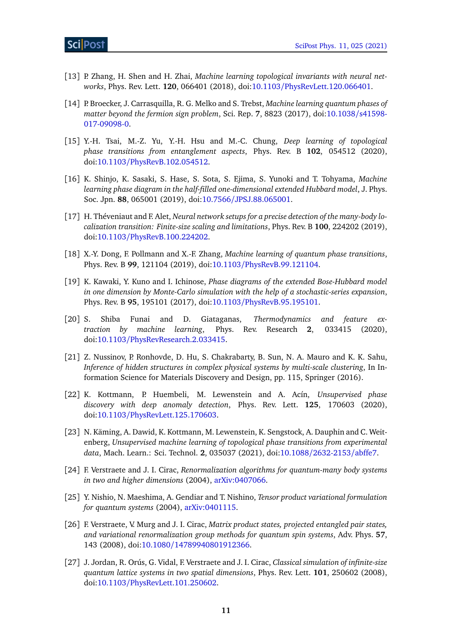- [13] P. Zhang, H. Shen and H. Zhai, *Machine learning topological invariants with neural networks*, Phys. Rev. Lett. **120**, 066401 (2018), doi:10.1103/[PhysRevLett.120.066401.](https://doi.org/10.1103/PhysRevLett.120.066401)
- [14] P. Broecker, J. Carrasquilla, R. G. Melko and S. Trebst, *Machine learning quantum phases of matter beyond the fermion sign problem*, Sci. Rep. **7**, 8823 (2017), doi[:10.1038](https://doi.org/10.1038/s41598-017-09098-0)/s41598- [017-09098-0.](https://doi.org/10.1038/s41598-017-09098-0)
- [15] Y.-H. Tsai, M.-Z. Yu, Y.-H. Hsu and M.-C. Chung, *Deep learning of topological phase transitions from entanglement aspects*, Phys. Rev. B **102**, 054512 (2020), doi:10.1103/[PhysRevB.102.054512.](https://doi.org/10.1103/PhysRevB.102.054512)
- [16] K. Shinjo, K. Sasaki, S. Hase, S. Sota, S. Ejima, S. Yunoki and T. Tohyama, *Machine learning phase diagram in the half-filled one-dimensional extended Hubbard model*, J. Phys. Soc. Jpn. **88**, 065001 (2019), doi:10.7566/[JPSJ.88.065001.](https://doi.org/10.7566/JPSJ.88.065001)
- [17] H. Théveniaut and F. Alet, *Neural network setups for a precise detection of the many-body localization transition: Finite-size scaling and limitations*, Phys. Rev. B **100**, 224202 (2019), doi:10.1103/[PhysRevB.100.224202.](https://doi.org/10.1103/PhysRevB.100.224202)
- [18] X.-Y. Dong, F. Pollmann and X.-F. Zhang, *Machine learning of quantum phase transitions*, Phys. Rev. B **99**, 121104 (2019), doi:10.1103/[PhysRevB.99.121104.](https://doi.org/10.1103/PhysRevB.99.121104)
- [19] K. Kawaki, Y. Kuno and I. Ichinose, *Phase diagrams of the extended Bose-Hubbard model in one dimension by Monte-Carlo simulation with the help of a stochastic-series expansion*, Phys. Rev. B **95**, 195101 (2017), doi:10.1103/[PhysRevB.95.195101.](https://doi.org/10.1103/PhysRevB.95.195101)
- <span id="page-11-0"></span>[20] S. Shiba Funai and D. Giataganas, *Thermodynamics and feature extraction by machine learning*, Phys. Rev. Research **2**, 033415 (2020), doi:10.1103/[PhysRevResearch.2.033415.](https://doi.org/10.1103/PhysRevResearch.2.033415)
- <span id="page-11-1"></span>[21] Z. Nussinov, P. Ronhovde, D. Hu, S. Chakrabarty, B. Sun, N. A. Mauro and K. K. Sahu, *Inference of hidden structures in complex physical systems by multi-scale clustering*, In Information Science for Materials Discovery and Design, pp. 115, Springer (2016).
- <span id="page-11-2"></span>[22] K. Kottmann, P. Huembeli, M. Lewenstein and A. Acín, *Unsupervised phase discovery with deep anomaly detection*, Phys. Rev. Lett. **125**, 170603 (2020), doi:10.1103/[PhysRevLett.125.170603.](https://doi.org/10.1103/PhysRevLett.125.170603)
- <span id="page-11-3"></span>[23] N. Käming, A. Dawid, K. Kottmann, M. Lewenstein, K. Sengstock, A. Dauphin and C. Weitenberg, *Unsupervised machine learning of topological phase transitions from experimental data*, Mach. Learn.: Sci. Technol. **2**, 035037 (2021), doi:10.1088/[2632-2153](https://doi.org/10.1088/2632-2153/abffe7)/abffe7.
- <span id="page-11-4"></span>[24] F. Verstraete and J. I. Cirac, *Renormalization algorithms for quantum-many body systems in two and higher dimensions* (2004), [arXiv:0407066.](https://arxiv.org/abs/cond-mat/0407066)
- [25] Y. Nishio, N. Maeshima, A. Gendiar and T. Nishino, *Tensor product variational formulation for quantum systems* (2004), [arXiv:0401115.](https://arxiv.org/abs/cond-mat/0401115)
- <span id="page-11-5"></span>[26] F. Verstraete, V. Murg and J. I. Cirac, *Matrix product states, projected entangled pair states, and variational renormalization group methods for quantum spin systems*, Adv. Phys. **57**, 143 (2008), doi:10.1080/[14789940801912366.](https://doi.org/10.1080/14789940801912366)
- <span id="page-11-6"></span>[27] J. Jordan, R. Orús, G. Vidal, F. Verstraete and J. I. Cirac, *Classical simulation of infinite-size quantum lattice systems in two spatial dimensions*, Phys. Rev. Lett. **101**, 250602 (2008), doi:10.1103/[PhysRevLett.101.250602.](https://doi.org/10.1103/PhysRevLett.101.250602)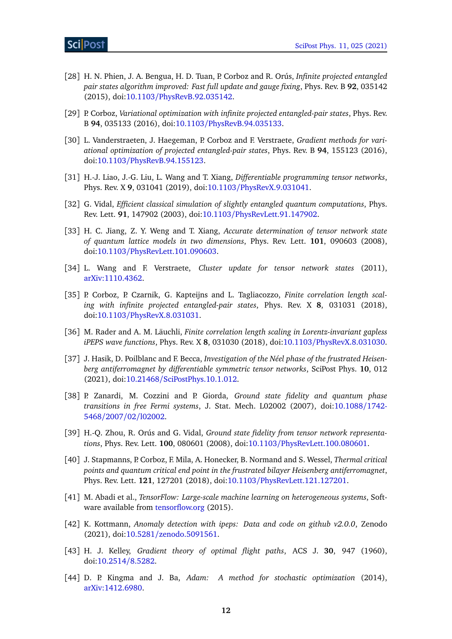- <span id="page-12-0"></span>[28] H. N. Phien, J. A. Bengua, H. D. Tuan, P. Corboz and R. Orús, *Infinite projected entangled pair states algorithm improved: Fast full update and gauge fixing*, Phys. Rev. B **92**, 035142 (2015), doi:10.1103/[PhysRevB.92.035142.](https://doi.org/10.1103/PhysRevB.92.035142)
- <span id="page-12-1"></span>[29] P. Corboz, *Variational optimization with infinite projected entangled-pair states*, Phys. Rev. B **94**, 035133 (2016), doi:10.1103/[PhysRevB.94.035133.](https://doi.org/10.1103/PhysRevB.94.035133)
- [30] L. Vanderstraeten, J. Haegeman, P. Corboz and F. Verstraete, *Gradient methods for variational optimization of projected entangled-pair states*, Phys. Rev. B **94**, 155123 (2016), doi:10.1103/[PhysRevB.94.155123.](https://doi.org/10.1103/PhysRevB.94.155123)
- <span id="page-12-2"></span>[31] H.-J. Liao, J.-G. Liu, L. Wang and T. Xiang, *Differentiable programming tensor networks*, Phys. Rev. X **9**, 031041 (2019), doi:10.1103/[PhysRevX.9.031041.](https://doi.org/10.1103/PhysRevX.9.031041)
- <span id="page-12-3"></span>[32] G. Vidal, *Efficient classical simulation of slightly entangled quantum computations*, Phys. Rev. Lett. **91**, 147902 (2003), doi:10.1103/[PhysRevLett.91.147902.](https://doi.org/10.1103/PhysRevLett.91.147902)
- <span id="page-12-4"></span>[33] H. C. Jiang, Z. Y. Weng and T. Xiang, *Accurate determination of tensor network state of quantum lattice models in two dimensions*, Phys. Rev. Lett. **101**, 090603 (2008), doi:10.1103/[PhysRevLett.101.090603.](https://doi.org/10.1103/PhysRevLett.101.090603)
- <span id="page-12-5"></span>[34] L. Wang and F. Verstraete, *Cluster update for tensor network states* (2011), [arXiv:1110.4362.](https://arxiv.org/abs/1110.4362)
- <span id="page-12-6"></span>[35] P. Corboz, P. Czarnik, G. Kapteijns and L. Tagliacozzo, *Finite correlation length scaling with infinite projected entangled-pair states*, Phys. Rev. X **8**, 031031 (2018), doi:10.1103/[PhysRevX.8.031031.](https://doi.org/10.1103/PhysRevX.8.031031)
- <span id="page-12-15"></span>[36] M. Rader and A. M. Läuchli, *Finite correlation length scaling in Lorentz-invariant gapless iPEPS wave functions*, Phys. Rev. X **8**, 031030 (2018), doi:10.1103/[PhysRevX.8.031030.](https://doi.org/10.1103/PhysRevX.8.031030)
- <span id="page-12-7"></span>[37] J. Hasik, D. Poilblanc and F. Becca, *Investigation of the Néel phase of the frustrated Heisenberg antiferromagnet by differentiable symmetric tensor networks*, SciPost Phys. **10**, 012 (2021), doi:10.21468/[SciPostPhys.10.1.012.](https://doi.org/10.21468/SciPostPhys.10.1.012)
- <span id="page-12-8"></span>[38] P. Zanardi, M. Cozzini and P. Giorda, *Ground state fidelity and quantum phase transitions in free Fermi systems*, J. Stat. Mech. L02002 (2007), doi[:10.1088](https://doi.org/10.1088/1742-5468/2007/02/l02002)/1742- 5468/2007/02/[l02002.](https://doi.org/10.1088/1742-5468/2007/02/l02002)
- <span id="page-12-9"></span>[39] H.-Q. Zhou, R. Orús and G. Vidal, *Ground state fidelity from tensor network representations*, Phys. Rev. Lett. **100**, 080601 (2008), doi:10.1103/[PhysRevLett.100.080601.](https://doi.org/10.1103/PhysRevLett.100.080601)
- <span id="page-12-10"></span>[40] J. Stapmanns, P. Corboz, F. Mila, A. Honecker, B. Normand and S. Wessel, *Thermal critical points and quantum critical end point in the frustrated bilayer Heisenberg antiferromagnet*, Phys. Rev. Lett. **121**, 127201 (2018), doi:10.1103/[PhysRevLett.121.127201.](https://doi.org/10.1103/PhysRevLett.121.127201)
- <span id="page-12-11"></span>[41] M. Abadi et al., *TensorFlow: Large-scale machine learning on heterogeneous systems*, Software available from <tensorflow.org> (2015).
- <span id="page-12-12"></span>[42] K. Kottmann, *Anomaly detection with ipeps: Data and code on github v2.0.0*, Zenodo (2021), doi:10.5281/[zenodo.5091561.](https://doi.org/10.5281/zenodo.5091561)
- <span id="page-12-13"></span>[43] H. J. Kelley, *Gradient theory of optimal flight paths*, ACS J. **30**, 947 (1960), doi[:10.2514](https://doi.org/10.2514/8.5282)/8.5282.
- <span id="page-12-14"></span>[44] D. P. Kingma and J. Ba, *Adam: A method for stochastic optimization* (2014), [arXiv:1412.6980.](https://arxiv.org/abs/1412.6980)